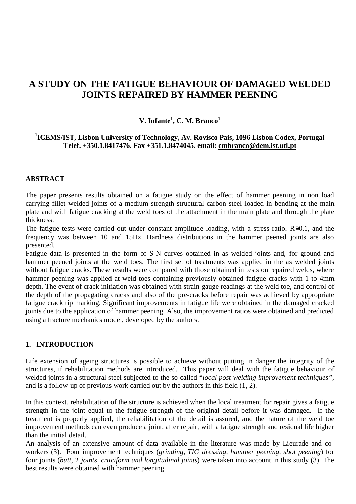# **A STUDY ON THE FATIGUE BEHAVIOUR OF DAMAGED WELDED JOINTS REPAIRED BY HAMMER PEENING**

## **V. Infante1 , C. M. Branco<sup>1</sup>**

## **1 ICEMS/IST, Lisbon University of Technology, Av. Rovisco Pais, 1096 Lisbon Codex, Portugal Telef. +350.1.8417476. Fax +351.1.8474045. email: cmbranco@dem.ist.utl.pt**

#### **ABSTRACT**

The paper presents results obtained on a fatigue study on the effect of hammer peening in non load carrying fillet welded joints of a medium strength structural carbon steel loaded in bending at the main plate and with fatigue cracking at the weld toes of the attachment in the main plate and through the plate thickness.

The fatigue tests were carried out under constant amplitude loading, with a stress ratio, R≅0.1, and the frequency was between 10 and 15Hz. Hardness distributions in the hammer peened joints are also presented.

Fatigue data is presented in the form of S-N curves obtained in as welded joints and, for ground and hammer peened joints at the weld toes. The first set of treatments was applied in the as welded joints without fatigue cracks. These results were compared with those obtained in tests on repaired welds, where hammer peening was applied at weld toes containing previously obtained fatigue cracks with 1 to 4mm depth. The event of crack initiation was obtained with strain gauge readings at the weld toe, and control of the depth of the propagating cracks and also of the pre-cracks before repair was achieved by appropriate fatigue crack tip marking. Significant improvements in fatigue life were obtained in the damaged cracked joints due to the application of hammer peening. Also, the improvement ratios were obtained and predicted using a fracture mechanics model, developed by the authors.

### **1. INTRODUCTION**

Life extension of ageing structures is possible to achieve without putting in danger the integrity of the structures, if rehabilitation methods are introduced. This paper will deal with the fatigue behaviour of welded joints in a structural steel subjected to the so-called "*local post-welding improvement techniques"*, and is a follow-up of previous work carried out by the authors in this field (1, 2).

In this context, rehabilitation of the structure is achieved when the local treatment for repair gives a fatigue strength in the joint equal to the fatigue strength of the original detail before it was damaged. If the treatment is properly applied, the rehabilitation of the detail is assured, and the nature of the weld toe improvement methods can even produce a joint, after repair, with a fatigue strength and residual life higher than the initial detail.

An analysis of an extensive amount of data available in the literature was made by Lieurade and coworkers (3). Four improvement techniques (*grinding, TIG dressing, hammer peening, shot peening*) for four joints (*butt, T joints, cruciform and longitudinal joints*) were taken into account in this study (3). The best results were obtained with hammer peening.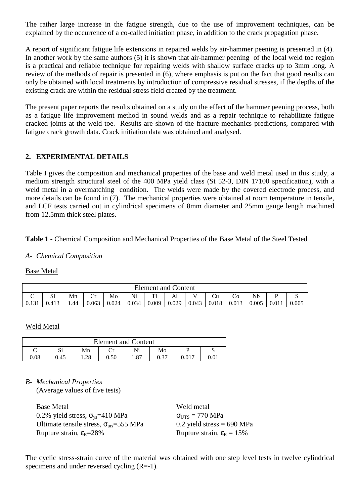The rather large increase in the fatigue strength, due to the use of improvement techniques, can be explained by the occurrence of a co-called initiation phase, in addition to the crack propagation phase.

A report of significant fatigue life extensions in repaired welds by air-hammer peening is presented in (4). In another work by the same authors (5) it is shown that air-hammer peening of the local weld toe region is a practical and reliable technique for repairing welds with shallow surface cracks up to 3mm long. A review of the methods of repair is presented in (6), where emphasis is put on the fact that good results can only be obtained with local treatments by introduction of compressive residual stresses, if the depths of the existing crack are within the residual stress field created by the treatment.

The present paper reports the results obtained on a study on the effect of the hammer peening process, both as a fatigue life improvement method in sound welds and as a repair technique to rehabilitate fatigue cracked joints at the weld toe. Results are shown of the fracture mechanics predictions, compared with fatigue crack growth data. Crack initiation data was obtained and analysed.

## **2. EXPERIMENTAL DETAILS**

Table I gives the composition and mechanical properties of the base and weld metal used in this study, a medium strength structural steel of the 400 MPa yield class (St 52-3, DIN 17100 specification), with a weld metal in a overmatching condition. The welds were made by the covered electrode process, and more details can be found in (7). The mechanical properties were obtained at room temperature in tensile, and LCF tests carried out in cylindrical specimens of 8mm diameter and 25mm gauge length machined from 12.5mm thick steel plates.

### **Table 1 -** Chemical Composition and Mechanical Properties of the Base Metal of the Steel Tested

#### *A- Chemical Composition*

#### Base Metal

| <b>Element and Content</b> |              |     |       |       |       |       |       |       |       |       |       |       |       |
|----------------------------|--------------|-----|-------|-------|-------|-------|-------|-------|-------|-------|-------|-------|-------|
| $\sim$<br>◡                | S.<br>ΩI     | Mn  | ◡     | Mo    | Ni    | m:    | Al    |       | Ċu    |       | Nb    |       | ມ     |
| 0.131                      | 412<br>U.413 | .44 | 0.063 | 0.024 | 0.034 | 0.009 | 0.029 | 0.043 | 0.018 | 0.013 | 0.005 | 0.011 | 0.005 |

#### Weld Metal

| <b>Element and Content</b> |          |      |      |      |             |  |  |  |  |  |
|----------------------------|----------|------|------|------|-------------|--|--|--|--|--|
| ๛                          | n.<br>ນ⊥ | Mn   |      | Ni   | Mo          |  |  |  |  |  |
| 0.08                       | 0.45     | 1.28 | 0.50 | 1.87 | ∩ 27<br>U.J |  |  |  |  |  |

*B- Mechanical Properties* (Average values of five tests)

| Base Metal                                                       | Weld metal                              |
|------------------------------------------------------------------|-----------------------------------------|
| 0.2% yield stress, $\sigma_{vs}$ =410 MPa                        | $\sigma_{\text{UTS}} = 770 \text{ MPa}$ |
| Ultimate tensile stress, $\sigma_{\text{uts}} = 555 \text{ MPa}$ | 0.2 yield stress = $690$ MPa            |
| Rupture strain, $\epsilon_R = 28\%$                              | Rupture strain, $\varepsilon_R = 15\%$  |

The cyclic stress-strain curve of the material was obtained with one step level tests in twelve cylindrical specimens and under reversed cycling (R=-1).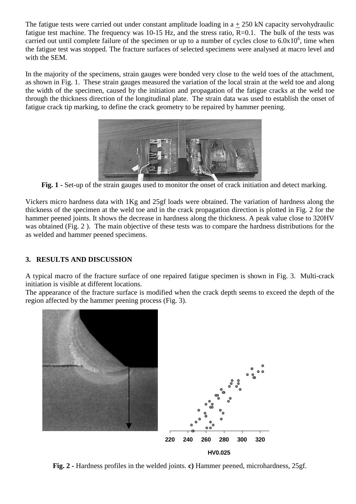The fatigue tests were carried out under constant amplitude loading in  $a + 250$  kN capacity servohydraulic fatigue test machine. The frequency was 10-15 Hz, and the stress ratio,  $R=0.1$ . The bulk of the tests was carried out until complete failure of the specimen or up to a number of cycles close to  $6.0x10^6$ , time when the fatigue test was stopped. The fracture surfaces of selected specimens were analysed at macro level and with the SEM.

In the majority of the specimens, strain gauges were bonded very close to the weld toes of the attachment, as shown in Fig. 1. These strain gauges measured the variation of the local strain at the weld toe and along the width of the specimen, caused by the initiation and propagation of the fatigue cracks at the weld toe through the thickness direction of the longitudinal plate. The strain data was used to establish the onset of fatigue crack tip marking, to define the crack geometry to be repaired by hammer peening.



**Fig. 1 -** Set-up of the strain gauges used to monitor the onset of crack initiation and detect marking.

Vickers micro hardness data with 1Kg and 25gf loads were obtained. The variation of hardness along the thickness of the specimen at the weld toe and in the crack propagation direction is plotted in Fig. 2 for the hammer peened joints. It shows the decrease in hardness along the thickness. A peak value close to 320HV was obtained (Fig. 2 ). The main objective of these tests was to compare the hardness distributions for the as welded and hammer peened specimens.

## **3. RESULTS AND DISCUSSION**

A typical macro of the fracture surface of one repaired fatigue specimen is shown in Fig. 3. Multi-crack initiation is visible at different locations.

The appearance of the fracture surface is modified when the crack depth seems to exceed the depth of the region affected by the hammer peening process (Fig. 3).



**Fig. 2 -** Hardness profiles in the welded joints. **c)** Hammer peened, microhardness, 25gf.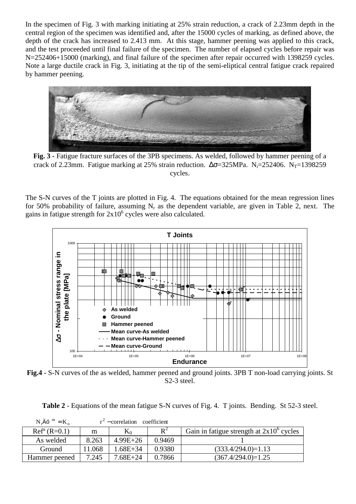In the specimen of Fig. 3 with marking initiating at 25% strain reduction, a crack of 2.23mm depth in the central region of the specimen was identified and, after the 15000 cycles of marking, as defined above, the depth of the crack has increased to 2.413 mm. At this stage, hammer peening was applied to this crack, and the test proceeded until final failure of the specimen. The number of elapsed cycles before repair was N=252406+15000 (marking), and final failure of the specimen after repair occurred with 1398259 cycles. Note a large ductile crack in Fig. 3, initiating at the tip of the semi-eliptical central fatigue crack repaired by hammer peening.



Fig. 3 - Fatigue fracture surfaces of the 3PB specimens. As welded, followed by hammer peening of a crack of 2.23mm. Fatigue marking at 25% strain reduction.  $\Delta \sigma = 325 MPa$ . N<sub>i</sub>=252406. N<sub>T</sub>=1398259 cycles.

The S-N curves of the T joints are plotted in Fig. 4. The equations obtained for the mean regression lines for 50% probability of failure, assuming  $N_r$  as the dependent variable, are given in Table 2, next. The gains in fatigue strength for  $2x10^6$  cycles were also calculated.



**Fig.4 -** S-N curves of the as welded, hammer peened and ground joints. 3PB T non-load carrying joints. St S2-3 steel.

**Table 2** - Equations of the mean fatigue S-N curves of Fig. 4. T joints. Bending. St 52-3 steel.

| $N_r$ Äó $m = K_0$ |       | $r^2$ – correlation | coefficient |                                                   |
|--------------------|-------|---------------------|-------------|---------------------------------------------------|
| $Refa$ (R=0.1)     | m     | $K_0$               | $R^2$       | Gain in fatigue strength at $2x10^{\circ}$ cycles |
| As welded          | 8.263 | $4.99E + 26$        | 0.9469      |                                                   |
| Ground             | 1.068 | $1.68E + 34$        | 0.9380      | $(333.4/294.0)=1.13$                              |
| Hammer peened      | 7.245 | $7.68E + 24$        | 0.7866      | $(367.4/294.0)=1.25$                              |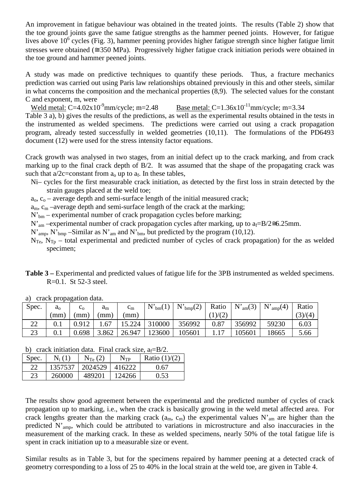An improvement in fatigue behaviour was obtained in the treated joints. The results (Table 2) show that the toe ground joints gave the same fatigue strengths as the hammer peened joints. However, for fatigue lives above  $10^6$  cycles (Fig. 3), hammer peening provides higher fatigue strength since higher fatigue limit stresses were obtained ( $\approx 350 \text{ MPa}$ ). Progressively higher fatigue crack initiation periods were obtained in the toe ground and hammer peened joints.

A study was made on predictive techniques to quantify these periods. Thus, a fracture mechanics prediction was carried out using Paris law relationships obtained previously in this and other steels, similar in what concerns the composition and the mechanical properties (8,9). The selected values for the constant C and exponent, m, were

Weld metal:  $C=4.02x10^{-9}$ mm/cycle; m=2.48 Base metal:  $C=1.36x10^{-11}$ mm/cycle; m=3.34

Table 3 a), b) gives the results of the predictions, as well as the experimental results obtained in the tests in the instrumented as welded specimens. The predictions were carried out using a crack propagation program, already tested successfully in welded geometries (10,11). The formulations of the PD6493 document (12) were used for the stress intensity factor equations.

Crack growth was analysed in two stages, from an initial defect up to the crack marking, and from crack marking up to the final crack depth of B/2. It was assumed that the shape of the propagating crack was such that  $a/2c$ =constant from  $a_0$  up to  $a_f$ . In these tables,

- Ni– cycles for the first measurable crack initiation, as detected by the first loss in strain detected by the strain gauges placed at the weld toe;
- $a_0$ ,  $c_0$  average depth and semi-surface length of the initial measured crack;
- $a_m$ ,  $c_m$  –average depth and semi-surface length of the crack at the marking;
- $N_{bm}$  experimental number of crack propagation cycles before marking;
- N'<sub>am</sub> –experimental number of crack propagation cycles after marking, up to  $a_f=B/2\approx 6.25$ mm.
- $N'_{amp}$ ,  $N'_{bmp}$  –Similar as  $N'_{am}$  and  $N'_{bm}$ , but predicted by the program (10,12).
- $N_{Te}$ ,  $N_{Tp}$  total experimental and predicted number of cycles of crack propagation) for the as welded specimen;
- **Table 3 –** Experimental and predicted values of fatigue life for the 3PB instrumented as welded specimens. R=0.1. St 52-3 steel.

| Spec.    | $a_{\rm o}$ | ⊷ດ      | $a_m$ | $c_m$  | N'<br>bm(1) | $r_{\text{bmp}}(2)$<br>$N$ '. | Ratio   | N'<br>m(3) | N'<br>$i_{\rm amp}(4)$ | Ratio   |
|----------|-------------|---------|-------|--------|-------------|-------------------------------|---------|------------|------------------------|---------|
|          | (mm)        | $'$ mm) | mm)   | (mm)   |             |                               | (1)/(2) |            |                        | (3)/(4) |
| າາ<br>∠∠ | 0.1         | 0.912   | .67   | 5.224  | 310000      | 356992                        | 0.87    | 356992     | 59230                  | 6.03    |
| つつ<br>دے | 0.1         | ).698   | 3.862 | 26.947 | 123600      | 105601                        |         | 105601     | 18665                  | 5.66    |

a) crack propagation data.

b) crack initiation data. Final crack size,  $a_f = B/2$ .

| Spec. | $N_i(1)$ | $N_{\text{Te}}(2)$ | $N_{\text{TP}}$ | Ratio $(1)/(2)$ |
|-------|----------|--------------------|-----------------|-----------------|
| 22    | 1357537  | 2024529            | 416222          | 0.67            |
| 23    | 260000   | 489201             | 124266          | 0.53            |

The results show good agreement between the experimental and the predicted number of cycles of crack propagation up to marking, i.e., when the crack is basically growing in the weld metal affected area. For crack lengths greater than the marking crack ( $a_m$ ,  $c_m$ ) the experimental values N'<sub>am</sub> are higher than the predicted N'amp, which could be attributed to variations in microstructure and also inaccuracies in the measurement of the marking crack. In these as welded specimens, nearly 50% of the total fatigue life is spent in crack initiation up to a measurable size or event.

Similar results as in Table 3, but for the specimens repaired by hammer peening at a detected crack of geometry corresponding to a loss of 25 to 40% in the local strain at the weld toe, are given in Table 4.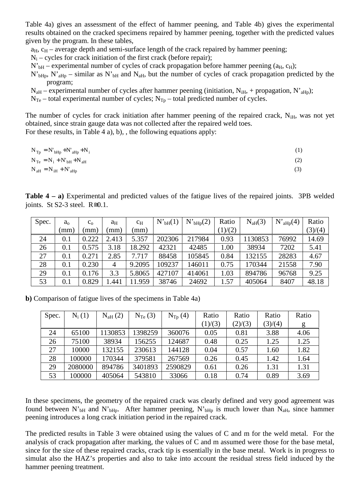Table 4a) gives an assessment of the effect of hammer peening, and Table 4b) gives the experimental results obtained on the cracked specimens repaired by hammer peening, together with the predicted values given by the program. In these tables,

 $a_H$ ,  $c_H$  – average depth and semi-surface length of the crack repaired by hammer peening;

 $N_i$  – cycles for crack initiation of the first crack (before repair);

 $N'_{bH}$  – experimental number of cycles of crack propagation before hammer peening ( $a_H$ ,  $c_H$ );

 $N'_{bHp}$ ,  $N'_{aHp}$  – similar as  $N'_{bH}$  and  $N_{aH}$ , but the number of cycles of crack propagation predicted by the program;

 $N<sub>aH</sub>$  – experimental number of cycles after hammer peening (initiation,  $N<sub>iH</sub>$ , + propagation,  $N<sub>aHp</sub>$ );

 $N_{Te}$  – total experimental number of cycles;  $N_{Te}$  – total predicted number of cycles.

The number of cycles for crack initiation after hammer peening of the repaired crack,  $N_{\text{H}}$ , was not yet obtained, since strain gauge data was not collected after the repaired weld toes. For these results, in Table 4 a), b), , the following equations apply:

 $N_{\text{Tp}} = N'_{\text{bHp}} + N_{\text{aHp}} + N_{\text{i}}$  (1)

$$
N_{\rm Te} = N_{\rm i} + N_{\rm bH} + N_{\rm aff} \tag{2}
$$

$$
N_{\text{aH}} = N_{\text{iH}} + N_{\text{aHp}} \tag{3}
$$

**Table 4 – a)** Experimental and predicted values of the fatigue lives of the repaired joints. 3PB welded joints. St S2-3 steel.  $R \cong 0.1$ .

| Spec. | $a_0$ | $c_{0}$ | aн             | $c_{\rm H}$ | $N_{\text{bH}}(1)$ | $N'_{bHp}(2)$ | Ratio   | $N_{\text{aH}}(3)$ | $N'_{aHp}(4)$ | Ratio   |
|-------|-------|---------|----------------|-------------|--------------------|---------------|---------|--------------------|---------------|---------|
|       | mm)   | mm)     | (mm)           | (mm)        |                    |               | (1)/(2) |                    |               | (3)/(4) |
| 24    | 0.1   | 0.222   | 2.413          | 5.357       | 202306             | 217984        | 0.93    | 1130853            | 76992         | 14.69   |
| 26    | 0.1   | 0.575   | 3.18           | 18.292      | 42321              | 42485         | 1.00    | 38934              | 7202          | 5.41    |
| 27    | 0.1   | 0.271   | 2.85           | 7.717       | 88458              | 105845        | 0.84    | 132155             | 28283         | 4.67    |
| 28    | 0.1   | 0.230   | $\overline{4}$ | 9.2095      | 109237             | 146011        | 0.75    | 170344             | 21558         | 7.90    |
| 29    | 0.1   | 0.176   | 3.3            | 5.8065      | 427107             | 414061        | 1.03    | 894786             | 96768         | 9.25    |
| 53    | 0.1   | 0.829   | .441           | 11.959      | 38746              | 24692         | 1.57    | 405064             | 8407          | 48.18   |

**b)** Comparison of fatigue lives of the specimens in Table 4a)

| Spec. | $N_i(1)$ | $N_{\rm aff}(2)$ | $N_{Te}$ (3) | $N_{\text{Tp}}(4)$ | Ratio   | Ratio   | Ratio   | Ratio |
|-------|----------|------------------|--------------|--------------------|---------|---------|---------|-------|
|       |          |                  |              |                    | (1)/(3) | (2)/(3) | (3)/(4) | g     |
| 24    | 65100    | 1130853          | 1398259      | 360076             | 0.05    | 0.81    | 3.88    | 4.06  |
| 26    | 75100    | 38934            | 156255       | 124687             | 0.48    | 0.25    | 1.25    | 1.25  |
| 27    | 10000    | 132155           | 230613       | 144128             | 0.04    | 0.57    | 1.60    | 1.82  |
| 28    | 100000   | 170344           | 379581       | 267569             | 0.26    | 0.45    | 1.42    | 1.64  |
| 29    | 2080000  | 894786           | 3401893      | 2590829            | 0.61    | 0.26    | 1.31    | 1.31  |
| 53    | 100000   | 405064           | 543810       | 33066              | 0.18    | 0.74    | 0.89    | 3.69  |

In these specimens, the geometry of the repaired crack was clearly defined and very good agreement was found between N'<sub>bH</sub> and N'<sub>bHp</sub>. After hammer peening, N'<sub>bHp</sub> is much lower than N<sub>aH</sub>, since hammer peening introduces a long crack initiation period in the repaired crack.

The predicted results in Table 3 were obtained using the values of C and m for the weld metal. For the analysis of crack propagation after marking, the values of C and m assumed were those for the base metal, since for the size of these repaired cracks, crack tip is essentially in the base metal. Work is in progress to simulat also the HAZ's properties and also to take into account the residual stress field induced by the hammer peening treatment.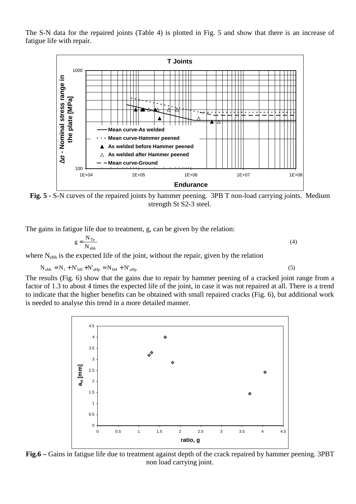The S-N data for the repaired joints (Table 4) is plotted in Fig. 5 and show that there is an increase of fatigue life with repair.



**Fig. 5 -** S-N curves of the repaired joints by hammer peening. 3PB T non-load carrying joints. Medium strength St S2-3 steel.

The gains in fatigue life due to treatment, g, can be given by the relation:

$$
g = \frac{N_{\text{Te}}}{N_{\text{ebh}}} \tag{4}
$$

where N<sub>ebh</sub> is the expected life of the joint, without the repair, given by the relation

$$
N_{ebh} = N_i + N'_{bH} + N'_{aHp} = N_{bH} + N'_{aHp}
$$
\n(5)

The results (Fig. 6) show that the gains due to repair by hammer peening of a cracked joint range from a factor of 1.3 to about 4 times the expected life of the joint, in case it was not repaired at all. There is a trend to indicate that the higher benefits can be obtained with small repaired cracks (Fig. 6), but additional work is needed to analyse this trend in a more detailed manner.



**Fig.6 –** Gains in fatigue life due to treatment against depth of the crack repaired by hammer peening. 3PBT non load carrying joint.